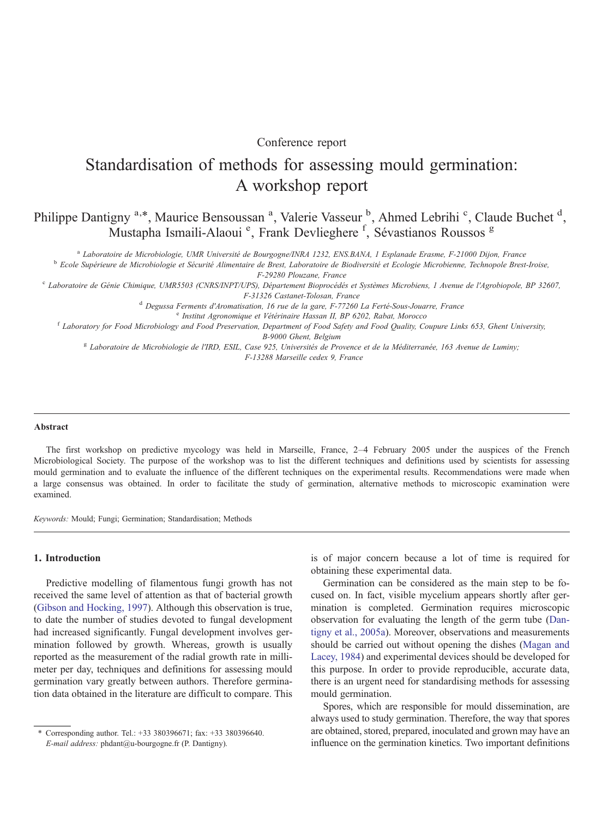# Conference report

# Standardisation of methods for assessing mould germination: A workshop report

Philippe Dantigny<sup>a,\*</sup>, Maurice Bensoussan<sup>a</sup>, Valerie Vasseur<sup>b</sup>, Ahmed Lebrihi<sup>c</sup>, Claude Buchet<sup>d</sup>, Mustapha Ismaili-Alaoui<sup>e</sup>, Frank Devlieghere<sup>f</sup>, Sévastianos Roussos<sup>g</sup>

<sup>a</sup> Laboratoire de Microbiologie, UMR Université de Bourgogne/INRA 1232, ENS.BANA, 1 Esplanade Erasme, F-21000 Dijon, France<br><sup>b</sup> Ecole Supérieure de Microbiologie et Sécurité Alimentaire de Brest, Laboratoire de Biodivers

<sup>e</sup> Laboratoire de Génie Chimique, UMR5503 (CNRS/INPT/UPS), Département Bioprocédés et Systèmes Microbiens, 1 Avenue de l'Agrobiopole, BP 32607,

F-31326 Castanet-Tolosan, France <sup>d</sup> Degussa Ferments d'Aromatisation, 16 rue de la gare, F-77260 La Ferté-Sous-Jouarre, France

<sup>e</sup> Institut Agronomique et Vétérinaire Hassan II, BP 6202, Rabat, Morocco **f Laboratory for Food Microbiology and Food Preservation**, Department of Food Safety and Food Quality, Coupure Links 653, Ghent University,

B-9000 Ghent, Belgium<br>Laboratoire de Microbiologie de l'IRD, ESIL, Case 925, Universités de Provence et de la Méditerranée, 163 Avenue de Luminy; F-13288 Marseille cedex 9, France

## Abstract

The first workshop on predictive mycology was held in Marseille, France, 2–4 February 2005 under the auspices of the French Microbiological Society. The purpose of the workshop was to list the different techniques and definitions used by scientists for assessing mould germination and to evaluate the influence of the different techniques on the experimental results. Recommendations were made when a large consensus was obtained. In order to facilitate the study of germination, alternative methods to microscopic examination were examined.

Keywords: Mould; Fungi; Germination; Standardisation; Methods

## 1. Introduction

Predictive modelling of filamentous fungi growth has not received the same level of attention as that of bacterial growth ([Gibson and Hocking, 1997](#page-5-0)). Although this observation is true, to date the number of studies devoted to fungal development had increased significantly. Fungal development involves germination followed by growth. Whereas, growth is usually reported as the measurement of the radial growth rate in millimeter per day, techniques and definitions for assessing mould germination vary greatly between authors. Therefore germination data obtained in the literature are difficult to compare. This is of major concern because a lot of time is required for obtaining these experimental data.

Germination can be considered as the main step to be focused on. In fact, visible mycelium appears shortly after germination is completed. Germination requires microscopic observation for evaluating the length of the germ tube ([Dan](#page-5-0)[tigny et al., 2005a\)](#page-5-0). Moreover, observations and measurements should be carried out without opening the dishes [\(Magan and](#page-5-0) [Lacey, 1984\)](#page-5-0) and experimental devices should be developed for this purpose. In order to provide reproducible, accurate data, there is an urgent need for standardising methods for assessing mould germination.

Spores, which are responsible for mould dissemination, are always used to study germination. Therefore, the way that spores are obtained, stored, prepared, inoculated and grown may have an influence on the germination kinetics. Two important definitions

<sup>⁎</sup> Corresponding author. Tel.: +33 380396671; fax: +33 380396640. E-mail address: phdant@u-bourgogne.fr (P. Dantigny).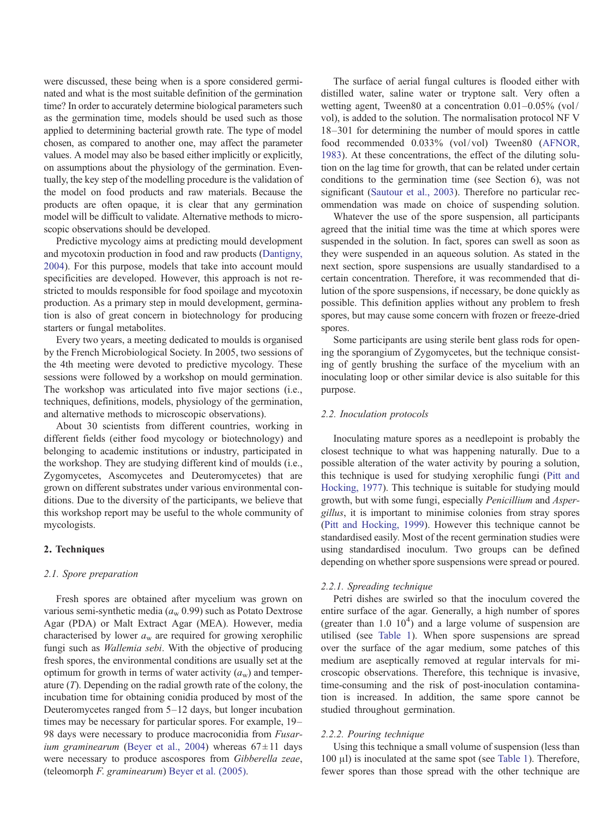were discussed, these being when is a spore considered germinated and what is the most suitable definition of the germination time? In order to accurately determine biological parameters such as the germination time, models should be used such as those applied to determining bacterial growth rate. The type of model chosen, as compared to another one, may affect the parameter values. A model may also be based either implicitly or explicitly, on assumptions about the physiology of the germination. Eventually, the key step of the modelling procedure is the validation of the model on food products and raw materials. Because the products are often opaque, it is clear that any germination model will be difficult to validate. Alternative methods to microscopic observations should be developed.

Predictive mycology aims at predicting mould development and mycotoxin production in food and raw products ([Dantigny,](#page-5-0) [2004](#page-5-0)). For this purpose, models that take into account mould specificities are developed. However, this approach is not restricted to moulds responsible for food spoilage and mycotoxin production. As a primary step in mould development, germination is also of great concern in biotechnology for producing starters or fungal metabolites.

Every two years, a meeting dedicated to moulds is organised by the French Microbiological Society. In 2005, two sessions of the 4th meeting were devoted to predictive mycology. These sessions were followed by a workshop on mould germination. The workshop was articulated into five major sections (i.e., techniques, definitions, models, physiology of the germination, and alternative methods to microscopic observations).

About 30 scientists from different countries, working in different fields (either food mycology or biotechnology) and belonging to academic institutions or industry, participated in the workshop. They are studying different kind of moulds (i.e., Zygomycetes, Ascomycetes and Deuteromycetes) that are grown on different substrates under various environmental conditions. Due to the diversity of the participants, we believe that this workshop report may be useful to the whole community of mycologists.

# 2. Techniques

## 2.1. Spore preparation

Fresh spores are obtained after mycelium was grown on various semi-synthetic media ( $a_w$  0.99) such as Potato Dextrose Agar (PDA) or Malt Extract Agar (MEA). However, media characterised by lower  $a_w$  are required for growing xerophilic fungi such as *Wallemia sebi*. With the objective of producing fresh spores, the environmental conditions are usually set at the optimum for growth in terms of water activity  $(a_w)$  and temperature  $(T)$ . Depending on the radial growth rate of the colony, the incubation time for obtaining conidia produced by most of the Deuteromycetes ranged from 5–12 days, but longer incubation times may be necessary for particular spores. For example, 19– 98 days were necessary to produce macroconidia from Fusar-ium graminearum [\(Beyer et al., 2004](#page-5-0)) whereas  $67 \pm 11$  days were necessary to produce ascospores from Gibberella zeae, (teleomorph F. graminearum) [Beyer et al. \(2005\).](#page-5-0)

The surface of aerial fungal cultures is flooded either with distilled water, saline water or tryptone salt. Very often a wetting agent, Tween80 at a concentration 0.01–0.05% (vol/ vol), is added to the solution. The normalisation protocol NF V 18–301 for determining the number of mould spores in cattle food recommended 0.033% (vol/vol) Tween80 [\(AFNOR,](#page-5-0) [1983](#page-5-0)). At these concentrations, the effect of the diluting solution on the lag time for growth, that can be related under certain conditions to the germination time (see Section 6), was not significant ([Sautour et al., 2003\)](#page-5-0). Therefore no particular recommendation was made on choice of suspending solution.

Whatever the use of the spore suspension, all participants agreed that the initial time was the time at which spores were suspended in the solution. In fact, spores can swell as soon as they were suspended in an aqueous solution. As stated in the next section, spore suspensions are usually standardised to a certain concentration. Therefore, it was recommended that dilution of the spore suspensions, if necessary, be done quickly as possible. This definition applies without any problem to fresh spores, but may cause some concern with frozen or freeze-dried spores.

Some participants are using sterile bent glass rods for opening the sporangium of Zygomycetes, but the technique consisting of gently brushing the surface of the mycelium with an inoculating loop or other similar device is also suitable for this purpose.

#### 2.2. Inoculation protocols

Inoculating mature spores as a needlepoint is probably the closest technique to what was happening naturally. Due to a possible alteration of the water activity by pouring a solution, this technique is used for studying xerophilic fungi ([Pitt and](#page-5-0) [Hocking, 1977](#page-5-0)). This technique is suitable for studying mould growth, but with some fungi, especially Penicillium and Aspergillus, it is important to minimise colonies from stray spores ([Pitt and Hocking, 1999\)](#page-5-0). However this technique cannot be standardised easily. Most of the recent germination studies were using standardised inoculum. Two groups can be defined depending on whether spore suspensions were spread or poured.

## 2.2.1. Spreading technique

Petri dishes are swirled so that the inoculum covered the entire surface of the agar. Generally, a high number of spores (greater than  $1.0 \t10<sup>4</sup>$ ) and a large volume of suspension are utilised (see [Table 1](#page-2-0)). When spore suspensions are spread over the surface of the agar medium, some patches of this medium are aseptically removed at regular intervals for microscopic observations. Therefore, this technique is invasive, time-consuming and the risk of post-inoculation contamination is increased. In addition, the same spore cannot be studied throughout germination.

## 2.2.2. Pouring technique

Using this technique a small volume of suspension (less than 100 μl) is inoculated at the same spot (see [Table 1\)](#page-2-0). Therefore, fewer spores than those spread with the other technique are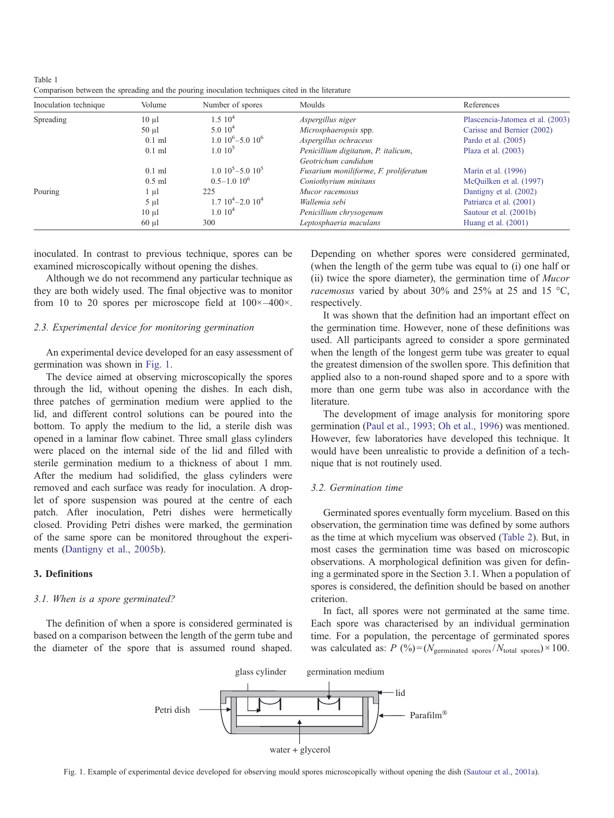<span id="page-2-0"></span>Table 1 Comparison between the spreading and the pouring inoculation techniques cited in the literature

| Inoculation technique | Volume     | Number of spores        | Moulds                                | References                       |
|-----------------------|------------|-------------------------|---------------------------------------|----------------------------------|
| Spreading             | $10 \mu l$ | $1.5~10^{4}$            | Aspergillus niger                     | Plascencia-Jatomea et al. (2003) |
|                       | $50 \mu l$ | $5.010^4$               | Microsphaeropsis spp.                 | Carisse and Bernier (2002)       |
|                       | $0.1$ ml   | $1.010^{6} - 5.010^{6}$ | Aspergillus ochraceus                 | Pardo et al. (2005)              |
|                       | $0.1$ ml   | 1.010 <sup>5</sup>      | Penicillium digitatum, P. italicum,   | Plaza et al. $(2003)$            |
|                       |            |                         | Geotrichum candidum                   |                                  |
|                       | $0.1$ ml   | $1.010^5 - 5.010^5$     | Fusarium moniliforme, F. proliferatum | Marín et al. (1996)              |
|                       | $0.5$ ml   | $0.5 - 1.0 10^{6}$      | Coniothyrium minitans                 | McQuilken et al. (1997)          |
| Pouring               | $1 \mu l$  | 225                     | Mucor racemosus                       | Dantigny et al. (2002)           |
|                       | $5 \mu l$  | $1.7~10^4 - 2.0~10^4$   | Wallemia sebi                         | Patriarca et al. (2001)          |
|                       | $10 \mu l$ | 1.010 <sup>4</sup>      | Penicillium chrysogenum               | Sautour et al. (2001b)           |
|                       | $60 \mu l$ | 300                     | Leptosphaeria maculans                | Huang et al. $(2001)$            |

inoculated. In contrast to previous technique, spores can be examined microscopically without opening the dishes.

Although we do not recommend any particular technique as they are both widely used. The final objective was to monitor from 10 to 20 spores per microscope field at  $100\times-400\times$ .

# 2.3. Experimental device for monitoring germination

An experimental device developed for an easy assessment of germination was shown in Fig. 1.

The device aimed at observing microscopically the spores through the lid, without opening the dishes. In each dish, three patches of germination medium were applied to the lid, and different control solutions can be poured into the bottom. To apply the medium to the lid, a sterile dish was opened in a laminar flow cabinet. Three small glass cylinders were placed on the internal side of the lid and filled with sterile germination medium to a thickness of about 1 mm. After the medium had solidified, the glass cylinders were removed and each surface was ready for inoculation. A droplet of spore suspension was poured at the centre of each patch. After inoculation, Petri dishes were hermetically closed. Providing Petri dishes were marked, the germination of the same spore can be monitored throughout the experiments [\(Dantigny et al., 2005b](#page-5-0)).

## 3. Definitions

## 3.1. When is a spore germinated?

The definition of when a spore is considered germinated is based on a comparison between the length of the germ tube and the diameter of the spore that is assumed round shaped.

Depending on whether spores were considered germinated, (when the length of the germ tube was equal to (i) one half or (ii) twice the spore diameter), the germination time of Mucor racemosus varied by about 30% and 25% at 25 and 15 °C, respectively.

It was shown that the definition had an important effect on the germination time. However, none of these definitions was used. All participants agreed to consider a spore germinated when the length of the longest germ tube was greater to equal the greatest dimension of the swollen spore. This definition that applied also to a non-round shaped spore and to a spore with more than one germ tube was also in accordance with the literature.

The development of image analysis for monitoring spore germination [\(Paul et al., 1993; Oh et al., 1996\)](#page-5-0) was mentioned. However, few laboratories have developed this technique. It would have been unrealistic to provide a definition of a technique that is not routinely used.

## 3.2. Germination time

Germinated spores eventually form mycelium. Based on this observation, the germination time was defined by some authors as the time at which mycelium was observed [\(Table 2\)](#page-3-0). But, in most cases the germination time was based on microscopic observations. A morphological definition was given for defining a germinated spore in the Section 3.1. When a population of spores is considered, the definition should be based on another criterion.

In fact, all spores were not germinated at the same time. Each spore was characterised by an individual germination time. For a population, the percentage of germinated spores was calculated as:  $P (%) = (N_{\text{germinated spores}}/N_{\text{total spores}}) \times 100$ .



Fig. 1. Example of experimental device developed for observing mould spores microscopically without opening the dish ([Sautour et al., 2001a](#page-5-0)).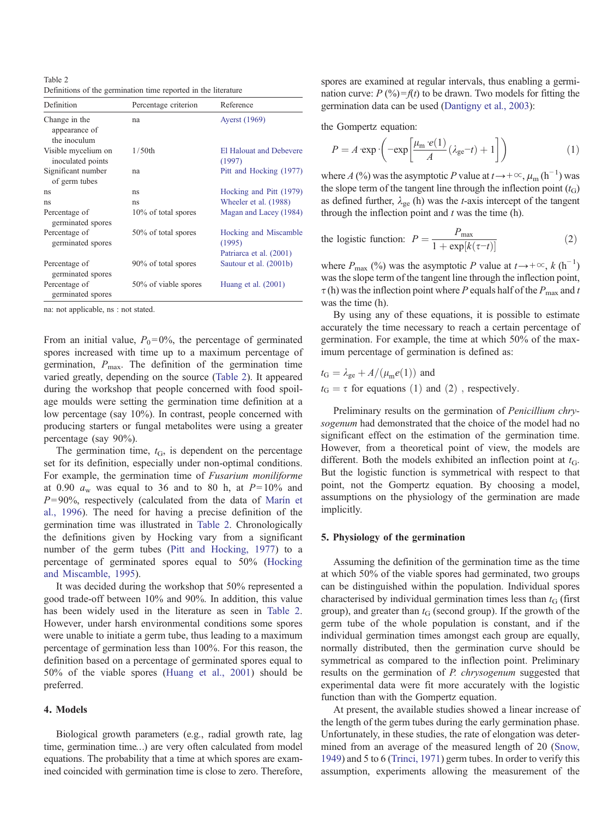<span id="page-3-0"></span>Table 2 Definitions of the germination time reported in the literature

| Definition                                     | Percentage criterion | Reference                                |
|------------------------------------------------|----------------------|------------------------------------------|
| Change in the<br>appearance of<br>the inoculum | na                   | <b>Ayerst</b> (1969)                     |
| Visible mycelium on<br>inoculated points       | $1/50$ th            | <b>El Halouat and Debevere</b><br>(1997) |
| Significant number<br>of germ tubes            | na                   | Pitt and Hocking (1977)                  |
| ns                                             | ns                   | Hocking and Pitt (1979)                  |
| ns                                             | ns                   | Wheeler et al. (1988)                    |
| Percentage of<br>germinated spores             | 10% of total spores  | Magan and Lacey (1984)                   |
| Percentage of<br>germinated spores             | 50% of total spores  | Hocking and Miscamble<br>(1995)          |
|                                                |                      | Patriarca et al. (2001)                  |
| Percentage of<br>germinated spores             | 90% of total spores  | Sautour et al. (2001b)                   |
| Percentage of<br>germinated spores             | 50% of viable spores | Huang et al. $(2001)$                    |

na: not applicable, ns : not stated.

From an initial value,  $P_0 = 0\%$ , the percentage of germinated spores increased with time up to a maximum percentage of germination,  $P_{\text{max}}$ . The definition of the germination time varied greatly, depending on the source (Table 2). It appeared during the workshop that people concerned with food spoilage moulds were setting the germination time definition at a low percentage (say 10%). In contrast, people concerned with producing starters or fungal metabolites were using a greater percentage (say 90%).

The germination time,  $t<sub>G</sub>$ , is dependent on the percentage set for its definition, especially under non-optimal conditions. For example, the germination time of Fusarium moniliforme at 0.90  $a_w$  was equal to 36 and to 80 h, at  $P=10\%$  and  $P= 90\%$ , respectively (calculated from the data of [Marín et](#page-5-0) [al., 1996\)](#page-5-0). The need for having a precise definition of the germination time was illustrated in Table 2. Chronologically the definitions given by Hocking vary from a significant number of the germ tubes ([Pitt and Hocking, 1977](#page-5-0)) to a percentage of germinated spores equal to 50% [\(Hocking](#page-5-0) [and Miscamble, 1995](#page-5-0)).

It was decided during the workshop that 50% represented a good trade-off between 10% and 90%. In addition, this value has been widely used in the literature as seen in Table 2. However, under harsh environmental conditions some spores were unable to initiate a germ tube, thus leading to a maximum percentage of germination less than 100%. For this reason, the definition based on a percentage of germinated spores equal to 50% of the viable spores [\(Huang et al., 2001](#page-5-0)) should be preferred.

## 4. Models

Biological growth parameters (e.g., radial growth rate, lag time, germination time…) are very often calculated from model equations. The probability that a time at which spores are examined coincided with germination time is close to zero. Therefore,

spores are examined at regular intervals, thus enabling a germination curve:  $P(\frac{9}{9}) = f(t)$  to be drawn. Two models for fitting the germination data can be used [\(Dantigny et al., 2003](#page-5-0)):

the Gompertz equation:

$$
P = A \cdot \exp\left(-\exp\left[\frac{\mu_{\rm m} \cdot e(1)}{A} (\lambda_{\rm ge} - t) + 1\right]\right) \tag{1}
$$

where A (%) was the asymptotic P value at  $t \rightarrow +\infty$ ,  $\mu_m$  (h<sup>-1</sup>) was the slope term of the tangent line through the inflection point  $(t_G)$ as defined further,  $\lambda_{ge}$  (h) was the *t*-axis intercept of the tangent through the inflection point and  $t$  was the time (h).

the logistic function: 
$$
P = \frac{P_{\text{max}}}{1 + \exp[k(\tau - t)]}
$$
 (2)

where  $P_{\text{max}}$  (%) was the asymptotic P value at  $t \rightarrow +\infty$ ,  $k(\text{h}^{-1})$ was the slope term of the tangent line through the inflection point,  $\tau$  (h) was the inflection point where P equals half of the  $P_{\text{max}}$  and t was the time (h).

By using any of these equations, it is possible to estimate accurately the time necessary to reach a certain percentage of germination. For example, the time at which 50% of the maximum percentage of germination is defined as:

$$
t_G = \lambda_{ge} + A/(\mu_m e(1))
$$
 and  
\n $t_G = \tau$  for equations (1) and (2), respectively.

Preliminary results on the germination of *Penicillium chry*sogenum had demonstrated that the choice of the model had no significant effect on the estimation of the germination time. However, from a theoretical point of view, the models are different. Both the models exhibited an inflection point at  $t_{\text{G}}$ . But the logistic function is symmetrical with respect to that point, not the Gompertz equation. By choosing a model, assumptions on the physiology of the germination are made implicitly.

# 5. Physiology of the germination

Assuming the definition of the germination time as the time at which 50% of the viable spores had germinated, two groups can be distinguished within the population. Individual spores characterised by individual germination times less than  $t_{\rm G}$  (first group), and greater than  $t<sub>G</sub>$  (second group). If the growth of the germ tube of the whole population is constant, and if the individual germination times amongst each group are equally, normally distributed, then the germination curve should be symmetrical as compared to the inflection point. Preliminary results on the germination of *P. chrysogenum* suggested that experimental data were fit more accurately with the logistic function than with the Gompertz equation.

At present, the available studies showed a linear increase of the length of the germ tubes during the early germination phase. Unfortunately, in these studies, the rate of elongation was determined from an average of the measured length of 20 ([Snow,](#page-5-0) [1949](#page-5-0)) and 5 to 6 ([Trinci, 1971\)](#page-5-0) germ tubes. In order to verify this assumption, experiments allowing the measurement of the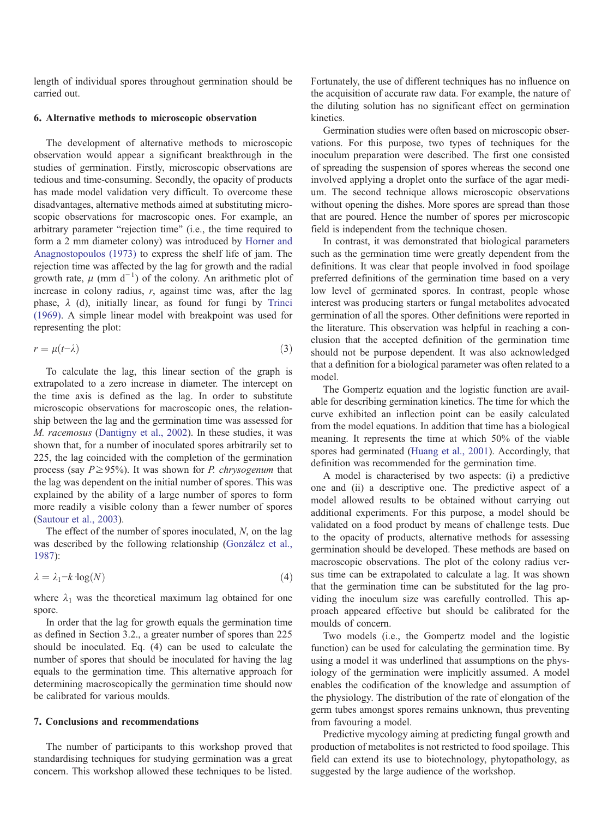length of individual spores throughout germination should be carried out.

## 6. Alternative methods to microscopic observation

The development of alternative methods to microscopic observation would appear a significant breakthrough in the studies of germination. Firstly, microscopic observations are tedious and time-consuming. Secondly, the opacity of products has made model validation very difficult. To overcome these disadvantages, alternative methods aimed at substituting microscopic observations for macroscopic ones. For example, an arbitrary parameter "rejection time" (i.e., the time required to form a 2 mm diameter colony) was introduced by [Horner and](#page-5-0) [Anagnostopoulos \(1973\)](#page-5-0) to express the shelf life of jam. The rejection time was affected by the lag for growth and the radial growth rate,  $\mu$  (mm d<sup>-1</sup>) of the colony. An arithmetic plot of increase in colony radius,  $r$ , against time was, after the lag phase,  $\lambda$  (d), initially linear, as found for fungi by [Trinci](#page-5-0) [\(1969\)](#page-5-0). A simple linear model with breakpoint was used for representing the plot:

$$
r = \mu(t-\lambda) \tag{3}
$$

To calculate the lag, this linear section of the graph is extrapolated to a zero increase in diameter. The intercept on the time axis is defined as the lag. In order to substitute microscopic observations for macroscopic ones, the relationship between the lag and the germination time was assessed for M. racemosus ([Dantigny et al., 2002\)](#page-5-0). In these studies, it was shown that, for a number of inoculated spores arbitrarily set to 225, the lag coincided with the completion of the germination process (say  $P \geq 95\%$ ). It was shown for *P. chrysogenum* that the lag was dependent on the initial number of spores. This was explained by the ability of a large number of spores to form more readily a visible colony than a fewer number of spores ([Sautour et al., 2003\)](#page-5-0).

The effect of the number of spores inoculated, N, on the lag was described by the following relationship ([González et al.,](#page-5-0) [1987\)](#page-5-0):

$$
\lambda = \lambda_1 - k \cdot \log(N) \tag{4}
$$

where  $\lambda_1$  was the theoretical maximum lag obtained for one spore.

In order that the lag for growth equals the germination time as defined in Section 3.2., a greater number of spores than 225 should be inoculated. Eq. (4) can be used to calculate the number of spores that should be inoculated for having the lag equals to the germination time. This alternative approach for determining macroscopically the germination time should now be calibrated for various moulds.

## 7. Conclusions and recommendations

The number of participants to this workshop proved that standardising techniques for studying germination was a great concern. This workshop allowed these techniques to be listed.

Fortunately, the use of different techniques has no influence on the acquisition of accurate raw data. For example, the nature of the diluting solution has no significant effect on germination kinetics.

Germination studies were often based on microscopic observations. For this purpose, two types of techniques for the inoculum preparation were described. The first one consisted of spreading the suspension of spores whereas the second one involved applying a droplet onto the surface of the agar medium. The second technique allows microscopic observations without opening the dishes. More spores are spread than those that are poured. Hence the number of spores per microscopic field is independent from the technique chosen.

In contrast, it was demonstrated that biological parameters such as the germination time were greatly dependent from the definitions. It was clear that people involved in food spoilage preferred definitions of the germination time based on a very low level of germinated spores. In contrast, people whose interest was producing starters or fungal metabolites advocated germination of all the spores. Other definitions were reported in the literature. This observation was helpful in reaching a conclusion that the accepted definition of the germination time should not be purpose dependent. It was also acknowledged that a definition for a biological parameter was often related to a model.

The Gompertz equation and the logistic function are available for describing germination kinetics. The time for which the curve exhibited an inflection point can be easily calculated from the model equations. In addition that time has a biological meaning. It represents the time at which 50% of the viable spores had germinated ([Huang et al., 2001](#page-5-0)). Accordingly, that definition was recommended for the germination time.

A model is characterised by two aspects: (i) a predictive one and (ii) a descriptive one. The predictive aspect of a model allowed results to be obtained without carrying out additional experiments. For this purpose, a model should be validated on a food product by means of challenge tests. Due to the opacity of products, alternative methods for assessing germination should be developed. These methods are based on macroscopic observations. The plot of the colony radius versus time can be extrapolated to calculate a lag. It was shown that the germination time can be substituted for the lag providing the inoculum size was carefully controlled. This approach appeared effective but should be calibrated for the moulds of concern.

Two models (i.e., the Gompertz model and the logistic function) can be used for calculating the germination time. By using a model it was underlined that assumptions on the physiology of the germination were implicitly assumed. A model enables the codification of the knowledge and assumption of the physiology. The distribution of the rate of elongation of the germ tubes amongst spores remains unknown, thus preventing from favouring a model.

Predictive mycology aiming at predicting fungal growth and production of metabolites is not restricted to food spoilage. This field can extend its use to biotechnology, phytopathology, as suggested by the large audience of the workshop.